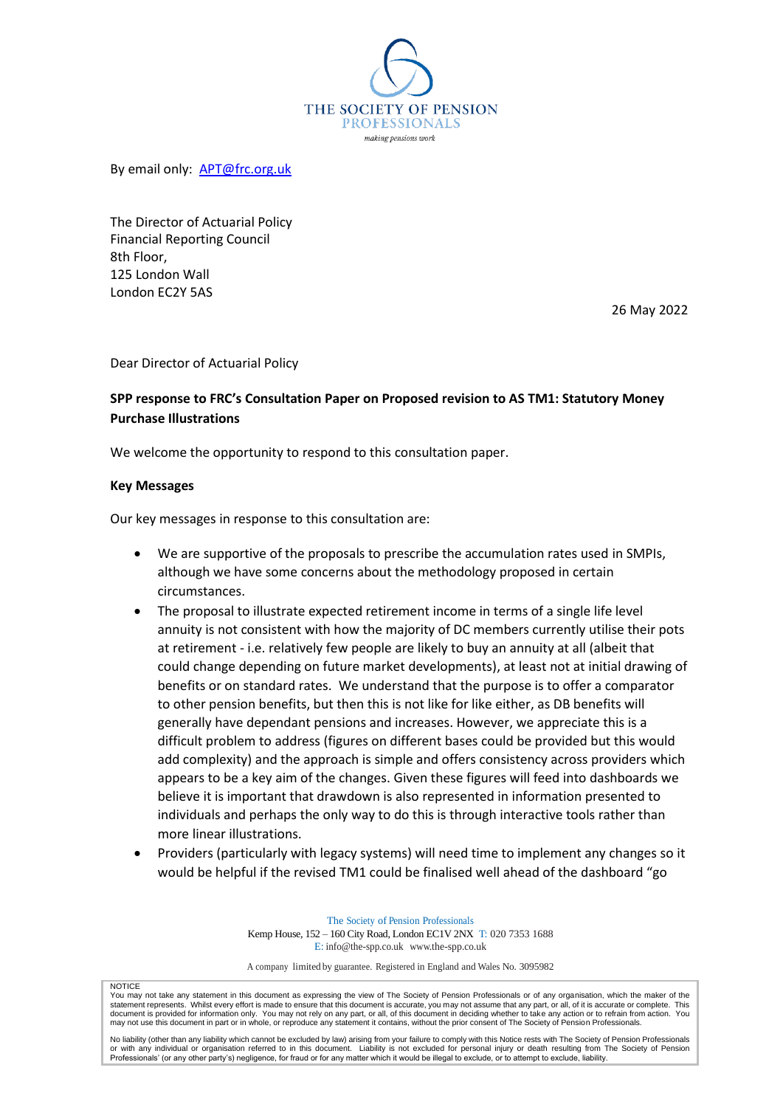

By email only: [APT@frc.org.uk](mailto:APT@frc.org.uk)

The Director of Actuarial Policy Financial Reporting Council 8th Floor, 125 London Wall London EC2Y 5AS

26 May 2022

Dear Director of Actuarial Policy

## **SPP response to FRC's Consultation Paper on Proposed revision to AS TM1: Statutory Money Purchase Illustrations**

We welcome the opportunity to respond to this consultation paper.

#### **Key Messages**

Our key messages in response to this consultation are:

- We are supportive of the proposals to prescribe the accumulation rates used in SMPIs, although we have some concerns about the methodology proposed in certain circumstances.
- The proposal to illustrate expected retirement income in terms of a single life level annuity is not consistent with how the majority of DC members currently utilise their pots at retirement - i.e. relatively few people are likely to buy an annuity at all (albeit that could change depending on future market developments), at least not at initial drawing of benefits or on standard rates. We understand that the purpose is to offer a comparator to other pension benefits, but then this is not like for like either, as DB benefits will generally have dependant pensions and increases. However, we appreciate this is a difficult problem to address (figures on different bases could be provided but this would add complexity) and the approach is simple and offers consistency across providers which appears to be a key aim of the changes. Given these figures will feed into dashboards we believe it is important that drawdown is also represented in information presented to individuals and perhaps the only way to do this is through interactive tools rather than more linear illustrations.
- Providers (particularly with legacy systems) will need time to implement any changes so it would be helpful if the revised TM1 could be finalised well ahead of the dashboard "go

The Society of Pension Professionals Kemp House, 152 – 160 City Road, London EC1V 2NX T: 020 7353 1688 E: [info@the-spp.co.uk](mailto:info@the-spp.co.uk) [www.the-spp.co.uk](http://www.the-spp.co.uk/)

A company limited by guarantee. Registered in England and Wales No. 3095982

#### **NOTICE**

You may not take any statement in this document as expressing the view of The Society of Pension Professionals or of any organisation, which the maker of the<br>statement represents. Whilst every effort is made to ensure that

No liability (other than any liability which cannot be excluded by law) arising from your failure to comply with this Notice rests with The Society of Pension Professionals or with any individual or organisation referred to in this document. Liability is not excluded for personal injury or death resulting from The Society of Pension<br>Professionals' (or any other party's) negligence, for fraud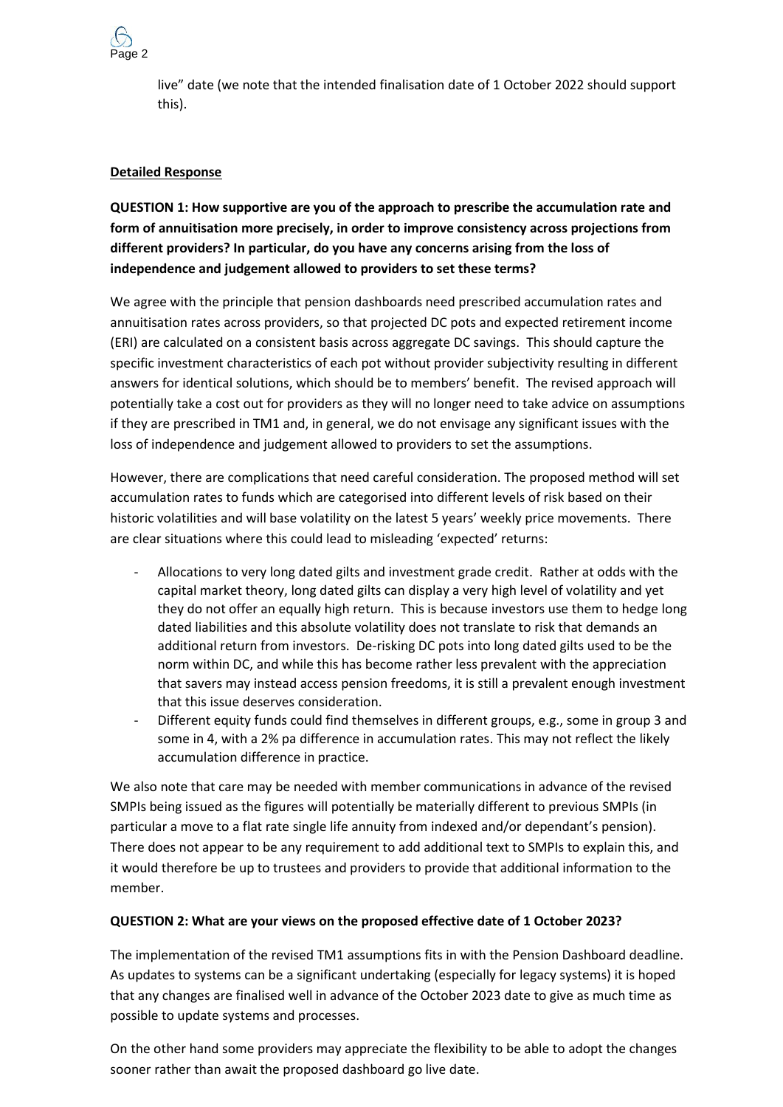

live" date (we note that the intended finalisation date of 1 October 2022 should support this).

#### **Detailed Response**

**QUESTION 1: How supportive are you of the approach to prescribe the accumulation rate and form of annuitisation more precisely, in order to improve consistency across projections from different providers? In particular, do you have any concerns arising from the loss of independence and judgement allowed to providers to set these terms?**

We agree with the principle that pension dashboards need prescribed accumulation rates and annuitisation rates across providers, so that projected DC pots and expected retirement income (ERI) are calculated on a consistent basis across aggregate DC savings. This should capture the specific investment characteristics of each pot without provider subjectivity resulting in different answers for identical solutions, which should be to members' benefit. The revised approach will potentially take a cost out for providers as they will no longer need to take advice on assumptions if they are prescribed in TM1 and, in general, we do not envisage any significant issues with the loss of independence and judgement allowed to providers to set the assumptions.

However, there are complications that need careful consideration. The proposed method will set accumulation rates to funds which are categorised into different levels of risk based on their historic volatilities and will base volatility on the latest 5 years' weekly price movements. There are clear situations where this could lead to misleading 'expected' returns:

- Allocations to very long dated gilts and investment grade credit. Rather at odds with the capital market theory, long dated gilts can display a very high level of volatility and yet they do not offer an equally high return. This is because investors use them to hedge long dated liabilities and this absolute volatility does not translate to risk that demands an additional return from investors. De-risking DC pots into long dated gilts used to be the norm within DC, and while this has become rather less prevalent with the appreciation that savers may instead access pension freedoms, it is still a prevalent enough investment that this issue deserves consideration.
- Different equity funds could find themselves in different groups, e.g., some in group 3 and some in 4, with a 2% pa difference in accumulation rates. This may not reflect the likely accumulation difference in practice.

We also note that care may be needed with member communications in advance of the revised SMPIs being issued as the figures will potentially be materially different to previous SMPIs (in particular a move to a flat rate single life annuity from indexed and/or dependant's pension). There does not appear to be any requirement to add additional text to SMPIs to explain this, and it would therefore be up to trustees and providers to provide that additional information to the member.

#### **QUESTION 2: What are your views on the proposed effective date of 1 October 2023?**

The implementation of the revised TM1 assumptions fits in with the Pension Dashboard deadline. As updates to systems can be a significant undertaking (especially for legacy systems) it is hoped that any changes are finalised well in advance of the October 2023 date to give as much time as possible to update systems and processes.

On the other hand some providers may appreciate the flexibility to be able to adopt the changes sooner rather than await the proposed dashboard go live date.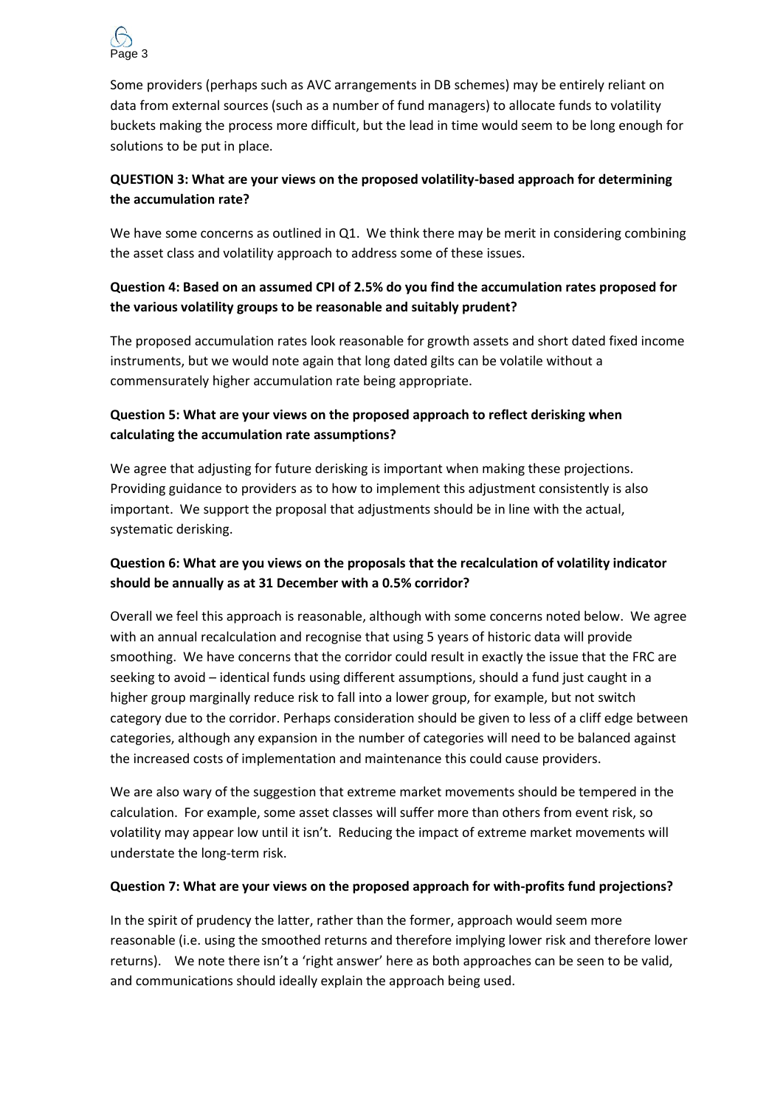

Some providers (perhaps such as AVC arrangements in DB schemes) may be entirely reliant on data from external sources (such as a number of fund managers) to allocate funds to volatility buckets making the process more difficult, but the lead in time would seem to be long enough for solutions to be put in place.

## **QUESTION 3: What are your views on the proposed volatility-based approach for determining the accumulation rate?**

We have some concerns as outlined in Q1. We think there may be merit in considering combining the asset class and volatility approach to address some of these issues.

## **Question 4: Based on an assumed CPI of 2.5% do you find the accumulation rates proposed for the various volatility groups to be reasonable and suitably prudent?**

The proposed accumulation rates look reasonable for growth assets and short dated fixed income instruments, but we would note again that long dated gilts can be volatile without a commensurately higher accumulation rate being appropriate.

## **Question 5: What are your views on the proposed approach to reflect derisking when calculating the accumulation rate assumptions?**

We agree that adjusting for future derisking is important when making these projections. Providing guidance to providers as to how to implement this adjustment consistently is also important. We support the proposal that adjustments should be in line with the actual, systematic derisking.

## **Question 6: What are you views on the proposals that the recalculation of volatility indicator should be annually as at 31 December with a 0.5% corridor?**

Overall we feel this approach is reasonable, although with some concerns noted below. We agree with an annual recalculation and recognise that using 5 years of historic data will provide smoothing. We have concerns that the corridor could result in exactly the issue that the FRC are seeking to avoid – identical funds using different assumptions, should a fund just caught in a higher group marginally reduce risk to fall into a lower group, for example, but not switch category due to the corridor. Perhaps consideration should be given to less of a cliff edge between categories, although any expansion in the number of categories will need to be balanced against the increased costs of implementation and maintenance this could cause providers.

We are also wary of the suggestion that extreme market movements should be tempered in the calculation. For example, some asset classes will suffer more than others from event risk, so volatility may appear low until it isn't. Reducing the impact of extreme market movements will understate the long-term risk.

## **Question 7: What are your views on the proposed approach for with-profits fund projections?**

In the spirit of prudency the latter, rather than the former, approach would seem more reasonable (i.e. using the smoothed returns and therefore implying lower risk and therefore lower returns). We note there isn't a 'right answer' here as both approaches can be seen to be valid, and communications should ideally explain the approach being used.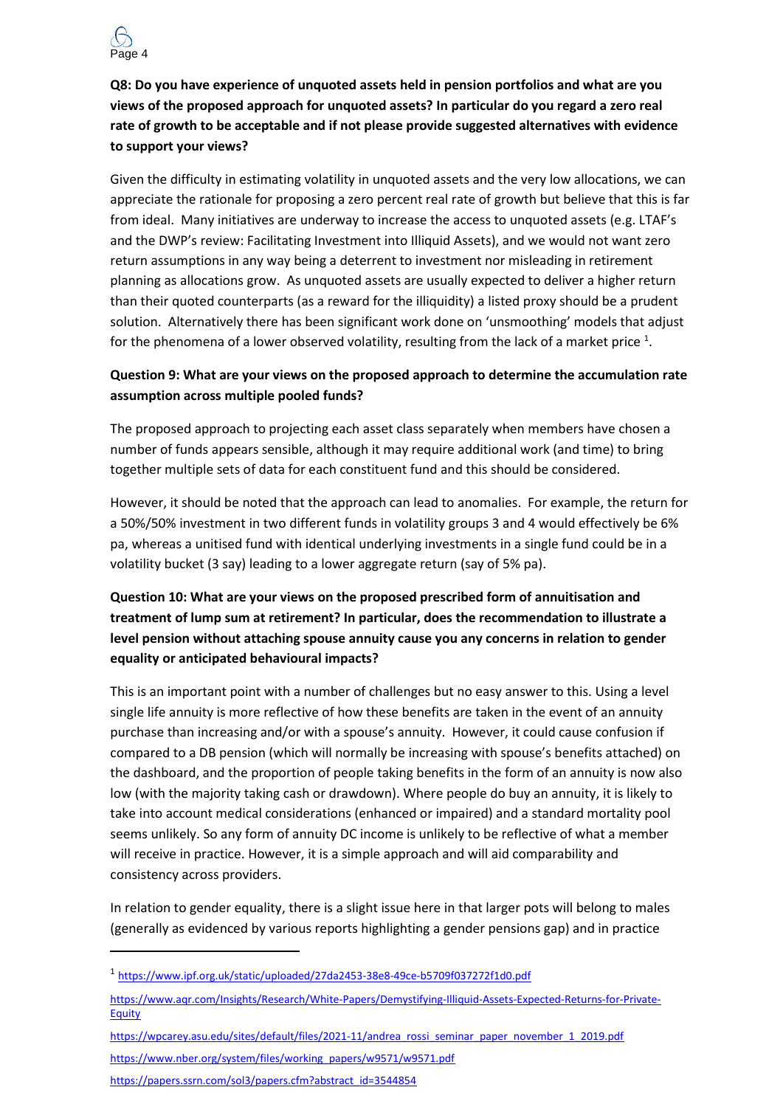

**Q8: Do you have experience of unquoted assets held in pension portfolios and what are you views of the proposed approach for unquoted assets? In particular do you regard a zero real rate of growth to be acceptable and if not please provide suggested alternatives with evidence to support your views?**

Given the difficulty in estimating volatility in unquoted assets and the very low allocations, we can appreciate the rationale for proposing a zero percent real rate of growth but believe that this is far from ideal. Many initiatives are underway to increase the access to unquoted assets (e.g. LTAF's and the DWP's review: Facilitating Investment into Illiquid Assets), and we would not want zero return assumptions in any way being a deterrent to investment nor misleading in retirement planning as allocations grow. As unquoted assets are usually expected to deliver a higher return than their quoted counterparts (as a reward for the illiquidity) a listed proxy should be a prudent solution. Alternatively there has been significant work done on 'unsmoothing' models that adjust for the phenomena of a lower observed volatility, resulting from the lack of a market price  $^1$ .

## **Question 9: What are your views on the proposed approach to determine the accumulation rate assumption across multiple pooled funds?**

The proposed approach to projecting each asset class separately when members have chosen a number of funds appears sensible, although it may require additional work (and time) to bring together multiple sets of data for each constituent fund and this should be considered.

However, it should be noted that the approach can lead to anomalies. For example, the return for a 50%/50% investment in two different funds in volatility groups 3 and 4 would effectively be 6% pa, whereas a unitised fund with identical underlying investments in a single fund could be in a volatility bucket (3 say) leading to a lower aggregate return (say of 5% pa).

# **Question 10: What are your views on the proposed prescribed form of annuitisation and treatment of lump sum at retirement? In particular, does the recommendation to illustrate a level pension without attaching spouse annuity cause you any concerns in relation to gender equality or anticipated behavioural impacts?**

This is an important point with a number of challenges but no easy answer to this. Using a level single life annuity is more reflective of how these benefits are taken in the event of an annuity purchase than increasing and/or with a spouse's annuity. However, it could cause confusion if compared to a DB pension (which will normally be increasing with spouse's benefits attached) on the dashboard, and the proportion of people taking benefits in the form of an annuity is now also low (with the majority taking cash or drawdown). Where people do buy an annuity, it is likely to take into account medical considerations (enhanced or impaired) and a standard mortality pool seems unlikely. So any form of annuity DC income is unlikely to be reflective of what a member will receive in practice. However, it is a simple approach and will aid comparability and consistency across providers.

In relation to gender equality, there is a slight issue here in that larger pots will belong to males (generally as evidenced by various reports highlighting a gender pensions gap) and in practice

- [https://www.aqr.com/Insights/Research/White-Papers/Demystifying-Illiquid-Assets-Expected-Returns-for-Private-](https://www.aqr.com/Insights/Research/White-Papers/Demystifying-Illiquid-Assets-Expected-Returns-for-Private-Equity)**[Equity](https://www.aqr.com/Insights/Research/White-Papers/Demystifying-Illiquid-Assets-Expected-Returns-for-Private-Equity)**
- [https://wpcarey.asu.edu/sites/default/files/2021-11/andrea\\_rossi\\_seminar\\_paper\\_november\\_1\\_2019.pdf](https://wpcarey.asu.edu/sites/default/files/2021-11/andrea_rossi_seminar_paper_november_1_2019.pdf)
- [https://www.nber.org/system/files/working\\_papers/w9571/w9571.pdf](https://www.nber.org/system/files/working_papers/w9571/w9571.pdf)
- [https://papers.ssrn.com/sol3/papers.cfm?abstract\\_id=3544854](https://papers.ssrn.com/sol3/papers.cfm?abstract_id=3544854)

<sup>1</sup> <https://www.ipf.org.uk/static/uploaded/27da2453-38e8-49ce-b5709f037272f1d0.pdf>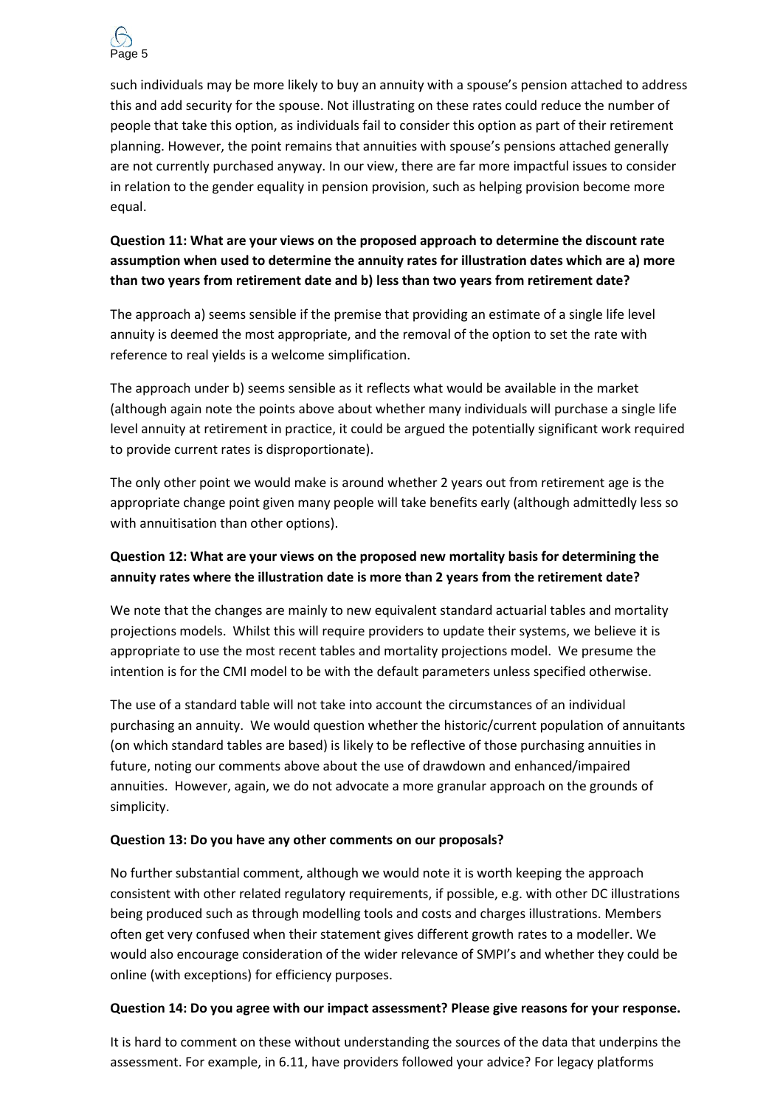

such individuals may be more likely to buy an annuity with a spouse's pension attached to address this and add security for the spouse. Not illustrating on these rates could reduce the number of people that take this option, as individuals fail to consider this option as part of their retirement planning. However, the point remains that annuities with spouse's pensions attached generally are not currently purchased anyway. In our view, there are far more impactful issues to consider in relation to the gender equality in pension provision, such as helping provision become more equal.

## **Question 11: What are your views on the proposed approach to determine the discount rate assumption when used to determine the annuity rates for illustration dates which are a) more than two years from retirement date and b) less than two years from retirement date?**

The approach a) seems sensible if the premise that providing an estimate of a single life level annuity is deemed the most appropriate, and the removal of the option to set the rate with reference to real yields is a welcome simplification.

The approach under b) seems sensible as it reflects what would be available in the market (although again note the points above about whether many individuals will purchase a single life level annuity at retirement in practice, it could be argued the potentially significant work required to provide current rates is disproportionate).

The only other point we would make is around whether 2 years out from retirement age is the appropriate change point given many people will take benefits early (although admittedly less so with annuitisation than other options).

## **Question 12: What are your views on the proposed new mortality basis for determining the annuity rates where the illustration date is more than 2 years from the retirement date?**

We note that the changes are mainly to new equivalent standard actuarial tables and mortality projections models. Whilst this will require providers to update their systems, we believe it is appropriate to use the most recent tables and mortality projections model. We presume the intention is for the CMI model to be with the default parameters unless specified otherwise.

The use of a standard table will not take into account the circumstances of an individual purchasing an annuity. We would question whether the historic/current population of annuitants (on which standard tables are based) is likely to be reflective of those purchasing annuities in future, noting our comments above about the use of drawdown and enhanced/impaired annuities. However, again, we do not advocate a more granular approach on the grounds of simplicity.

## **Question 13: Do you have any other comments on our proposals?**

No further substantial comment, although we would note it is worth keeping the approach consistent with other related regulatory requirements, if possible, e.g. with other DC illustrations being produced such as through modelling tools and costs and charges illustrations. Members often get very confused when their statement gives different growth rates to a modeller. We would also encourage consideration of the wider relevance of SMPI's and whether they could be online (with exceptions) for efficiency purposes.

## **Question 14: Do you agree with our impact assessment? Please give reasons for your response.**

It is hard to comment on these without understanding the sources of the data that underpins the assessment. For example, in 6.11, have providers followed your advice? For legacy platforms